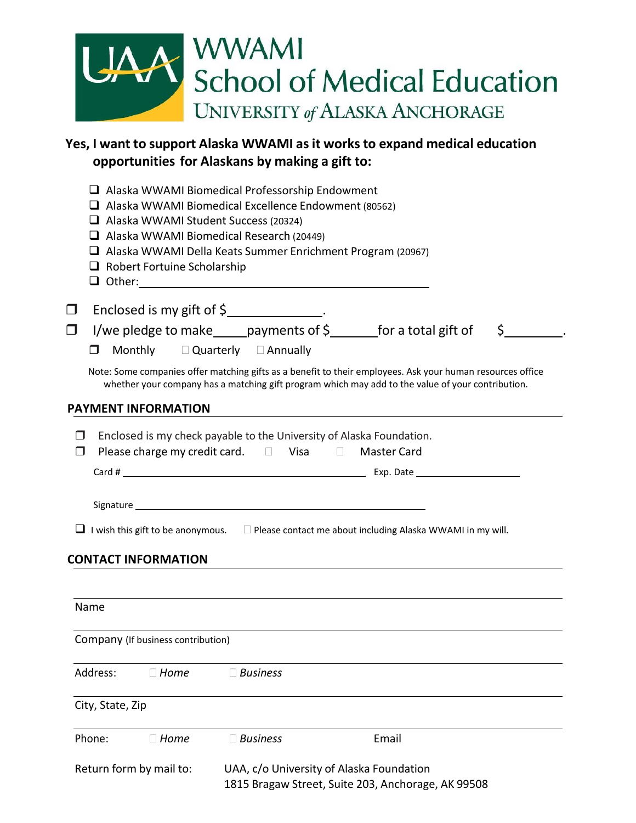| UAA WWAMI<br>School of Medical Education |
|------------------------------------------|
|                                          |
| UNIVERSITY of ALASKA ANCHORAGE           |

# **Yes, I want to support Alaska WWAMI asit works to expand medical education opportunities for Alaskans by making a gift to:**

|          |                                    | $\Box$ Alaska WWAMI Student Success (20324)<br>$\Box$ Robert Fortuine Scholarship | $\Box$ Alaska WWAMI Biomedical Professorship Endowment<br>$\Box$ Alaska WWAMI Biomedical Excellence Endowment (80562)<br>$\Box$ Alaska WWAMI Biomedical Research (20449)<br>$\Box$ Alaska WWAMI Della Keats Summer Enrichment Program (20967) |  |       |  |         |  |
|----------|------------------------------------|-----------------------------------------------------------------------------------|-----------------------------------------------------------------------------------------------------------------------------------------------------------------------------------------------------------------------------------------------|--|-------|--|---------|--|
| □        |                                    |                                                                                   | Enclosed is my gift of \$                                                                                                                                                                                                                     |  |       |  |         |  |
| $\Box$   |                                    |                                                                                   | I/we pledge to make $\_\_$ payments of \$ $\_\_$ for a total gift of                                                                                                                                                                          |  |       |  | $\zeta$ |  |
| П.       |                                    |                                                                                   | Monthly D Quarterly D Annually                                                                                                                                                                                                                |  |       |  |         |  |
|          |                                    |                                                                                   | Note: Some companies offer matching gifts as a benefit to their employees. Ask your human resources office<br>whether your company has a matching gift program which may add to the value of your contribution.                               |  |       |  |         |  |
|          | <b>PAYMENT INFORMATION</b>         |                                                                                   |                                                                                                                                                                                                                                               |  |       |  |         |  |
|          |                                    |                                                                                   | $\Box$ I wish this gift to be anonymous. $\Box$ Please contact me about including Alaska WWAMI in my will.                                                                                                                                    |  |       |  |         |  |
|          | <b>CONTACT INFORMATION</b>         |                                                                                   |                                                                                                                                                                                                                                               |  |       |  |         |  |
| Name     |                                    |                                                                                   |                                                                                                                                                                                                                                               |  |       |  |         |  |
|          | Company (If business contribution) |                                                                                   |                                                                                                                                                                                                                                               |  |       |  |         |  |
| Address: |                                    | $\Box$ Home                                                                       | $\Box$ Business                                                                                                                                                                                                                               |  |       |  |         |  |
|          | City, State, Zip                   |                                                                                   |                                                                                                                                                                                                                                               |  |       |  |         |  |
| Phone:   |                                    | $\Box$ Home                                                                       | $\Box$ Business                                                                                                                                                                                                                               |  | Email |  |         |  |
|          | Return form by mail to:            |                                                                                   | UAA, c/o University of Alaska Foundation                                                                                                                                                                                                      |  |       |  |         |  |
|          |                                    |                                                                                   | 1815 Bragaw Street, Suite 203, Anchorage, AK 99508                                                                                                                                                                                            |  |       |  |         |  |